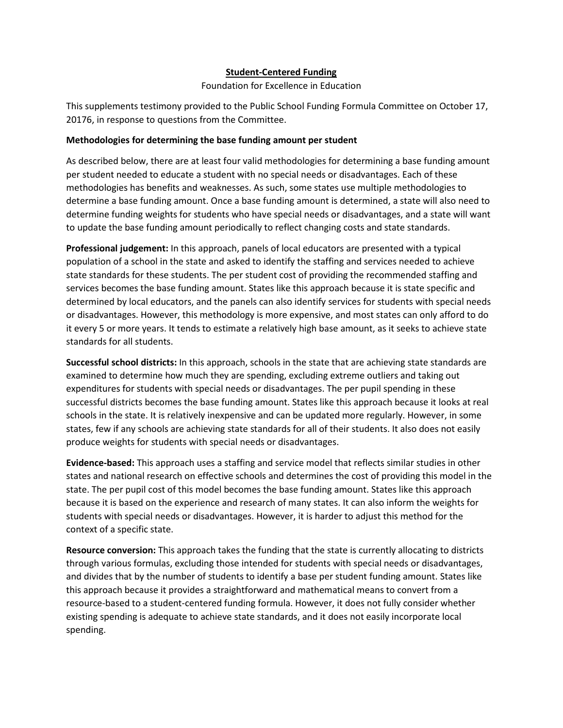### **Student-Centered Funding**

Foundation for Excellence in Education

This supplements testimony provided to the Public School Funding Formula Committee on October 17, 20176, in response to questions from the Committee.

### **Methodologies for determining the base funding amount per student**

As described below, there are at least four valid methodologies for determining a base funding amount per student needed to educate a student with no special needs or disadvantages. Each of these methodologies has benefits and weaknesses. As such, some states use multiple methodologies to determine a base funding amount. Once a base funding amount is determined, a state will also need to determine funding weights for students who have special needs or disadvantages, and a state will want to update the base funding amount periodically to reflect changing costs and state standards.

**Professional judgement:** In this approach, panels of local educators are presented with a typical population of a school in the state and asked to identify the staffing and services needed to achieve state standards for these students. The per student cost of providing the recommended staffing and services becomes the base funding amount. States like this approach because it is state specific and determined by local educators, and the panels can also identify services for students with special needs or disadvantages. However, this methodology is more expensive, and most states can only afford to do it every 5 or more years. It tends to estimate a relatively high base amount, as it seeks to achieve state standards for all students.

**Successful school districts:** In this approach, schools in the state that are achieving state standards are examined to determine how much they are spending, excluding extreme outliers and taking out expenditures for students with special needs or disadvantages. The per pupil spending in these successful districts becomes the base funding amount. States like this approach because it looks at real schools in the state. It is relatively inexpensive and can be updated more regularly. However, in some states, few if any schools are achieving state standards for all of their students. It also does not easily produce weights for students with special needs or disadvantages.

**Evidence-based:** This approach uses a staffing and service model that reflects similar studies in other states and national research on effective schools and determines the cost of providing this model in the state. The per pupil cost of this model becomes the base funding amount. States like this approach because it is based on the experience and research of many states. It can also inform the weights for students with special needs or disadvantages. However, it is harder to adjust this method for the context of a specific state.

**Resource conversion:** This approach takes the funding that the state is currently allocating to districts through various formulas, excluding those intended for students with special needs or disadvantages, and divides that by the number of students to identify a base per student funding amount. States like this approach because it provides a straightforward and mathematical means to convert from a resource-based to a student-centered funding formula. However, it does not fully consider whether existing spending is adequate to achieve state standards, and it does not easily incorporate local spending.